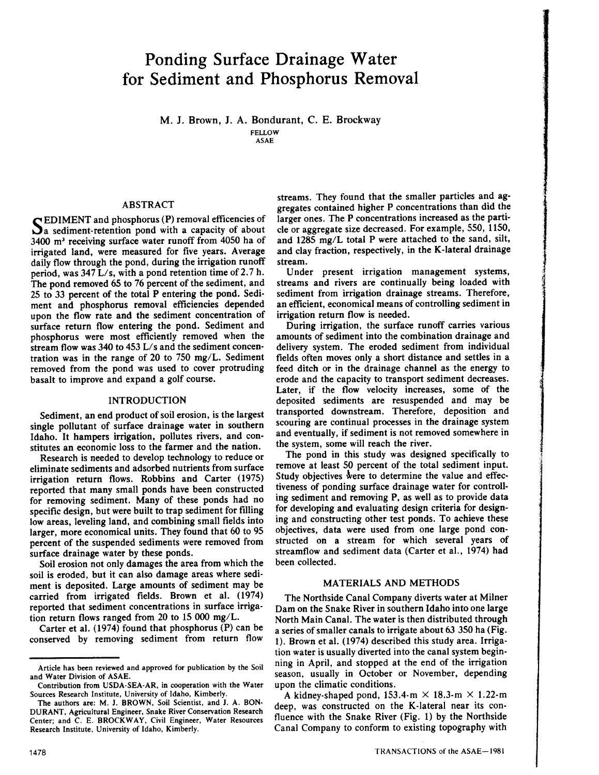# **Ponding Surface Drainage Water for Sediment and Phosphorus Removal**

M. J. Brown, J. A. Bondurant, C. E. Brockway FELLOW

ASAE

# ABSTRACT

SEDIMENT and phosphorus (P) removal efficencies of<br>Sa sediment-retention pond with a capacity of about a sediment-retention pond with a capacity of about 3400 m" receiving surface water runoff from 4050 ha of irrigated land, were measured for five years. Average daily flow through the pond, during the irrigation runoff period, was  $347$  L/s, with a pond retention time of 2.7 h. The pond removed 65 to 76 percent of the sediment, and 25 to 33 percent of the total P entering the pond. Sediment and phosphorus removal efficiencies depended upon the flow rate and the sediment concentration of surface return flow entering the pond. Sediment and phosphorus were most efficiently removed when the stream flow was 340 to 453 L/s and the sediment concentration was in the range of 20 to 750 mg/L. Sediment removed from the pond was used to cover protruding basalt to improve and expand a golf course.

## INTRODUCTION

Sediment, an end product of soil erosion, is the largest single pollutant of surface drainage water in southern Idaho. It hampers irrigation, pollutes rivers, and constitutes an economic loss to the farmer and the nation.

Research is needed to develop technology to reduce or eliminate sediments and adsorbed nutrients from surface irrigation return flows. Robbins and Carter (1975) reported that many small ponds have been constructed for removing sediment. Many of these ponds had no specific design, but were built to trap sediment for filling low areas, leveling land, and combining small fields into larger, more economical units. They found that 60 to 95 percent of the suspended sediments were removed from surface drainage water by these ponds.

Soil erosion not only damages the area from which the soil is eroded, but it can also damage areas where sediment is deposited. Large amounts of sediment may be carried from irrigated fields. Brown et al. (1974) reported that sediment concentrations in surface irrigation return flows ranged from 20 to 15 000 mg/L.

Carter et al. (1974) found that phosphorus (P) can be conserved by removing sediment from return flow streams. They found that the smaller particles and aggregates contained higher P concentrations than did the larger ones. The P concentrations increased as the particle or aggregate size decreased. For example, 550, 1150, and 1285 mg/L total P were attached to the sand, silt, and clay fraction, respectively, in the K-Iateral drainage stream.

Under present irrigation management systems, streams and rivers are continually being loaded with sediment from irrigation drainage streams. Therefore, an efficient, economical means of controlling sediment in irrigation return flow is needed.

During irrigation, the surface runoff carries various amounts of sediment into the combination drainage and delivery system. The eroded sediment from individual fields often moves only a short distance and settles in a feed ditch or in the drainage channel as the energy to erode and the capacity to transport sediment decreases. Later, if the flow velocity increases, some of the deposited sediments are resuspended and may be transported downstream. Therefore, deposition and scouring are continual processes in the drainage system and eventually, if sediment is not removed somewhere in the system, some will reach the river.

The pond in this study was designed specifically to remove at least 50 percent of the total sediment input. Study objectives were to determine the value and effectiveness of ponding surface drainage water for controlling sediment and removing P, as well as to provide data for developing and evaluating design criteria for designing and constructing other test ponds. To achieve these objectives, data were used from one large pond constructed on a stream for which several years of streamflow and sediment data (Carter et aI., 1974) had been collected.

# MATERIALS AND METHODS

The Northside Canal Company diverts water at Milner Dam on the Snake River in southern Idaho into one large North Main Canal. The water is then distributed through a series of smaller canals to irrigate about 63 350 ha (Fig. 1). Brown et al. (1974) described this study area. Irrigation water is usually diverted into the canal system beginning in April, and stopped at the end of the irrigation season, usually in October or November, depending upon the climatic conditions.

A kidney-shaped pond,  $153.4 \text{·m} \times 18.3 \text{·m} \times 1.22 \text{·m}$ deep, was constructed on the K-Iateral near its confluence with the Snake River (Fig. 1) by the Northside Canal Company to conform to existing topography with

Article has been reviewed and approved for publication by the Soil and Water Division of ASAE.

Contribution from USDA·SEA·AR, in cooperation with the Water Sources Research Institute, University of Idaho, Kimberly.

The authors are: M. J. BROWN, Soil Scientist, and J. A. BON· DURANT, Agricultural Engineer, Snake River Conservation Research Center; and C. E. BROCKWAY, Civil Engineer, Water Resources Research Institute, University of Idaho, Kimberly.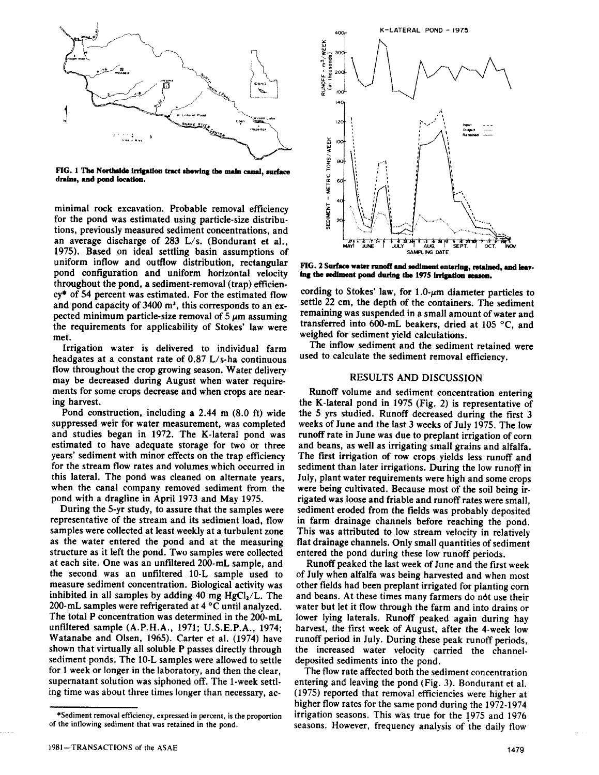

FIG. 1 The Northside irrigation tract showing the main canal, surface drains, and pond location.

minimal rock excavation. Probable removal efficiency for the pond was estimated using particle-size distributions, previously measured sediment concentrations, and an average discharge of 283 *Lis.* (Bondurant et al., 1975). Based on ideal settling basin assumptions of uniform inflow and outflow distribution, rectangular pond configuration and uniform horizontal velocity throughout the pond, a sediment-removal (trap) efficien $cy*$  of 54 percent was estimated. For the estimated flow and pond capacity of  $3400 \text{ m}^3$ , this corresponds to an expected minimum particle-size removal of  $5 \mu m$  assuming the requirements for applicability of Stokes' law were met.

Irrigation water is delivered to individual farm headgates at a constant rate of  $0.87$  L/s-ha continuous flow throughout the crop growing season. Water delivery may be decreased during August when water requirements for some crops decrease and when crops are nearing harvest.

Pond construction, including a 2.44 m (8.0 ft) wide suppressed weir for water measurement, was completed and studies began in 1972. The K-lateral pond was estimated to have adequate storage for two or three years' sediment with minor effects on the trap efficiency for the stream flow rates and volumes which occurred in this lateral. The pond was cleaned on alternate years, when the canal company removed sediment from the pond with a dragline in April 1973 and May 1975.

During the 5-yr study, to assure that the samples were representative of the stream and its sediment load, flow samples were collected at least weekly at a turbulent zone as the water entered the pond and at the measuring structure as it left the pond. Two samples were collected at each site. One was an unfiltered 200-mL sample, and the second was an unfiltered 10-L sample used to measure sediment concentration. Biological activity was inhibited in all samples by adding 40 mg  $HgCl<sub>2</sub>/L$ . The 200-mL samples were refrigerated at 4°C until analyzed. The total P concentration was determined in the 200-mL unfiltered sample (A.P.H.A., 1971; U.S.E.P.A., 1974; Watanabe and Olsen, 1965). Carter et al. (1974) have shown that virtually all soluble P passes directly through sediment ponds. The 10-L samples were allowed to settle for 1 week or longer in the laboratory, and then the clear, supernatant solution was siphoned off. The l-week settling time was about three times longer than necessary, ac-



FIG. 2 Surface water runoff and sediment entering, retained, and leaving the sediment pond during the 1975 irrigation season.

cording to Stokes' law, for  $1.0$ - $\mu$ m diameter particles to settle 22 em, the depth of the containers. The sediment remaining was suspended in a small amount of water and transferred into 600·mL beakers, dried at 105°C, and weighed for sediment yield calculations.

The inflow sediment and the sediment retained were used to calculate the sediment removal efficiency.

# RESULTS AND DISCUSSION

Runoff volume and sediment concentration entering the K-lateral pond in 1975 (Fig. 2) is representative of the 5 yrs studied. Runoff decreased during the first 3 weeks of June and the last 3 weeks of July 1975. The low runoff rate in June was due to preplant irrigation of corn and beans, as well as irrigating small grains and alfalfa. The first irrigation of row crops yields less runoff and sediment than later irrigations. During the low runoff in July, plant water requirements were high and some crops were being cultivated. Because most of the soil being irrigated was loose and friable and runoff rates were small, sediment eroded from the fields was probably deposited in farm drainage channels before reaching the pond. This was attributed to low stream velocity in relatively flat drainage channels. Only small quantities of sediment entered the pond during these low runoff periods.

Runoff peaked the last week of June and the first week of July when alfalfa was being harvested and when most other fields had been preplant irrigated for planting corn and beans. At these times many farmers do not use their water but let it flow through the farm and into drains or lower lying laterals. Runoff peaked again during hay harvest, the first week of August, after the 4-week low runoff period in July. During these peak runoff periods, the increased water velocity carried the channeldeposited sediments into the pond.

The flow rate affected both the sediment concentration entering and leaving the pond (Fig. 3). Bondurant et aI. (1975) reported that removal efficiencies were higher at higher flow rates for the same pond during the 1972-1974 irrigation seasons. This was true for the 1975 and 1976 seasons. However, frequency analysis of the daily flow

<sup>\*</sup>Sediment removal efficiency, expressed in percent, is the proportion of the inflowing sediment that was retained in the pond.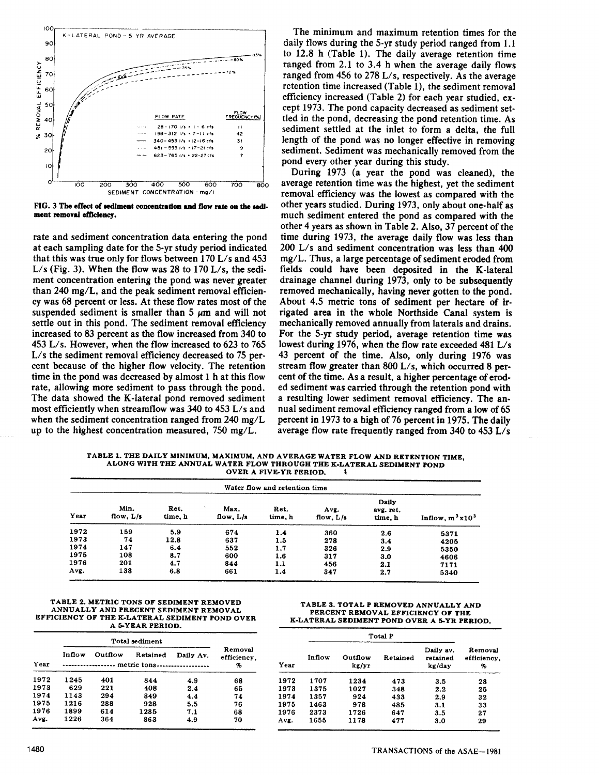

FIG. 3 The effect of sediment concentration and flow rate on the sediment removal efficiency.

rate and sediment concentration data entering the pond at each sampling date for the 5-yr study period indicated that this was true only for flows between  $170$  L/s and  $453$ L/s (Fig. 3). When the flow was 28 to 170 L/s, the sediment concentration entering the pond was never greater than 240 mg/L, and the peak sediment removal efficiency was 68 percent or less. At these flow rates most of the suspended sediment is smaller than  $5 \mu m$  and will not settle out in this pond. The sediment removal efficiency increased to 83 percent as the flow increased from 340 to 453 *Lis.* However, when the flow increased to 623 to 765 L/s the sediment removal efficiency decreased to 75 percent because of the higher flow velocity. The retention time in the pond was decreased by almost 1 h at this flow rate, allowing more sediment to pass through the pond. The data showed the K-Iateral pond removed sediment most efficiently when streamflow was 340 to 453 *Lis* and when the sediment concentration ranged from 240 *mg/L* up to the highest concentration measured, 750 *mg/L.*

The minimum and maximum retention times for the daily flows during the 5-yr study period ranged from 1.1 to 12.8 h (Table 1). The daily average retention time ranged from 2.1 to 3.4 h when the average daily flows ranged from 456 to 278 L/s, respectively. As the average retention time increased (Table I), the sediment removal efficiency increased (Table 2) for each year studied, except 1973. The pond capacity decreased as sediment settled in the pond, decreasing the pond retention time. As sediment settled at the inlet to form a delta, the full length of the pond was no longer effective in removing sediment. Sediment was mechanically removed from the pond every other year during this study.

During 1973 (a year the pond was cleaned), the average retention time was the highest, yet the sediment removal efficiency was the lowest as compared with the other years studied. During 1973, only about one-half as much sediment entered the pond as compared with the other 4 years as shown in Table 2. Also, 37 percent of the time during 1973, the average daily flow was less than *200 Lis* and sediment concentration was less than 400 *mg/L.* Thus, a large percentage of sediment eroded from fields could have been deposited in the K-Iateral drainage channel during 1973, only to be subsequently removed mechanically, having never gotten to the pond. About 4.5 metric tons of sediment per hectare of irrigated area in the whole Northside Canal system is mechanically removed annually from laterals and drains. For the 5-yr study period, average retention time was lowest during 1976, when the flow rate exceeded  $481 L/s$ 43 percent of the time. Also, only during 1976 was stream flow greater than 800 L/s, which occurred 8 percent of the time. As a result, a higher percentage of eroded sediment was carried through the retention pond with a resulting lower sediment removal efficiency. The annual sediment removal efficiency ranged from a low of 65 percent in 1973 to a high of 76 percent in 1975. The daily average flow rate frequently ranged from 340 to 453 *Lis*

TABLE 1. THE DAILY MINIMUM, MAXIMUM, AND AVERAGE WATER FLOW AND RETENTION TIME, ALONG WITH THE ANNUAL WATER FLOW THROUGH THE K-LATERAL SEDIMENT POND OVER A FIVE-YR PERIOD. ,

| Water flow and retention time |                     |                 |                     |                 |                     |                                      |                    |  |
|-------------------------------|---------------------|-----------------|---------------------|-----------------|---------------------|--------------------------------------|--------------------|--|
| Year                          | Min.<br>flow, $L/s$ | Ret.<br>time, h | Max.<br>flow, $L/s$ | Ret.<br>time, h | Avg.<br>flow, $L/s$ | <b>Daily</b><br>avg. ret.<br>time, h | Inflow, $m^3x10^3$ |  |
| 1972                          | 159                 | 5.9             | 674                 | 1.4             | 360                 | 2.6                                  | 5371               |  |
| 1973                          | 74                  | 12.8            | 637                 | 1.5             | 278                 | 3.4                                  | 4205               |  |
| 1974                          | 147                 | 6.4             | 552                 | 1.7             | 326                 | 2.9                                  | 5350               |  |
| 1975                          | 108                 | 8.7             | 600                 | 1.6             | 317                 | 3.0                                  | 4606               |  |
| 1976                          | 201                 | 4.7             | 844                 | 1.1             | 456                 | 2.1                                  | 7171               |  |
| Avg.                          | 138                 | 6.8             | 661                 | 1.4             | 347                 | 2.7                                  | 5340               |  |

#### TABLE 2. METRIC TONS OF SEDIMENT REMOVED ANNUALLY AND PRECENT SEDIMENT REMOVAL EFFICIENCY OF THE K-LATERAL SEDIMENT POND OVER A 5-YEAR PERIOD.

| Year | Inflow      | Outflow | Retained | Daily Av. | Removal<br>efficiency. |
|------|-------------|---------|----------|-----------|------------------------|
|      | metric tons | 96      |          |           |                        |
| 1972 | 1245        | 401     | 844      | 4.9       | 68                     |
| 1973 | 629         | 221     | 408      | 2.4       | 65                     |
| 1974 | 1143        | 294     | 849      | 4.4       | 74                     |
| 1975 | 1216        | 288     | 928      | 5.5       | 76                     |
| 1976 | 1899        | 614     | 1285     | 7.1       | 68                     |
| Avg. | 1226        | 364     | 863      | 4.9       | 70                     |

TABLE 3. TOTAL P REMOVED ANNUALLY AND PERCENT REMOVAL EFFICIENCY OF THE K-LATERAL SEDIMENT POND OVER A 5-YR PERIOD.

| Year | Inflow | Outflow<br>kg/yr | Retained |         | Removal<br>efficiency,<br>% |
|------|--------|------------------|----------|---------|-----------------------------|
| 1972 | 1707   | 1234             | 473      | 3.5     | 28                          |
| 1973 | 1375   | 1027             | 348      | $2.2\,$ | 25                          |
| 1974 | 1357   | 924              | 433      | 2.9     | 32                          |
| 1975 | 1463   | 978              | 485      | 3.1     | 33                          |
| 1976 | 2373   | 1726             | 647      | 3.5     | 27                          |
| Avg. | 1655   | 1178             | 477      | 3.0     | 29                          |
|      |        |                  |          |         |                             |